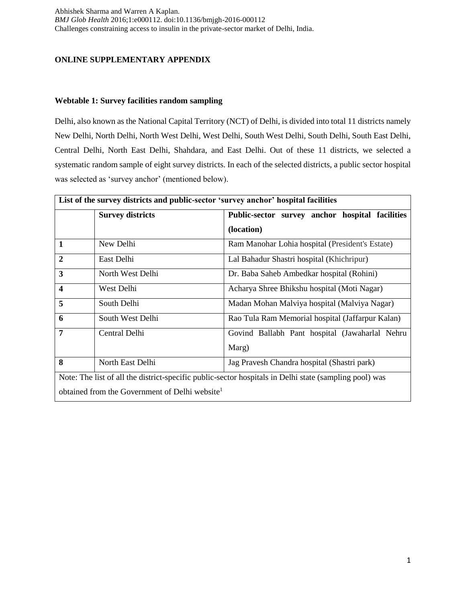## **ONLINE SUPPLEMENTARY APPENDIX**

### **Webtable 1: Survey facilities random sampling**

Delhi, also known as the National Capital Territory (NCT) of Delhi, is divided into total 11 districts namely New Delhi, North Delhi, North West Delhi, West Delhi, South West Delhi, South Delhi, South East Delhi, Central Delhi, North East Delhi, Shahdara, and East Delhi. Out of these 11 districts, we selected a systematic random sample of eight survey districts. In each of the selected districts, a public sector hospital was selected as 'survey anchor' (mentioned below).

|                                                                                                        | List of the survey districts and public-sector 'survey anchor' hospital facilities |                                                  |  |  |  |  |  |
|--------------------------------------------------------------------------------------------------------|------------------------------------------------------------------------------------|--------------------------------------------------|--|--|--|--|--|
|                                                                                                        | <b>Survey districts</b>                                                            | Public-sector survey anchor hospital facilities  |  |  |  |  |  |
|                                                                                                        |                                                                                    | (location)                                       |  |  |  |  |  |
| $\mathbf{1}$                                                                                           | New Delhi                                                                          | Ram Manohar Lohia hospital (President's Estate)  |  |  |  |  |  |
| $\overline{2}$                                                                                         | East Delhi                                                                         | Lal Bahadur Shastri hospital (Khichripur)        |  |  |  |  |  |
| $\overline{\mathbf{3}}$                                                                                | North West Delhi                                                                   | Dr. Baba Saheb Ambedkar hospital (Rohini)        |  |  |  |  |  |
| $\overline{\mathbf{4}}$                                                                                | West Delhi                                                                         | Acharya Shree Bhikshu hospital (Moti Nagar)      |  |  |  |  |  |
| 5                                                                                                      | South Delhi                                                                        | Madan Mohan Malviya hospital (Malviya Nagar)     |  |  |  |  |  |
| 6                                                                                                      | South West Delhi                                                                   | Rao Tula Ram Memorial hospital (Jaffarpur Kalan) |  |  |  |  |  |
| 7                                                                                                      | Central Delhi                                                                      | Govind Ballabh Pant hospital (Jawaharlal Nehru   |  |  |  |  |  |
|                                                                                                        |                                                                                    | Marg)                                            |  |  |  |  |  |
| 8                                                                                                      | North East Delhi                                                                   | Jag Pravesh Chandra hospital (Shastri park)      |  |  |  |  |  |
| Note: The list of all the district-specific public-sector hospitals in Delhi state (sampling pool) was |                                                                                    |                                                  |  |  |  |  |  |
| obtained from the Government of Delhi website <sup>1</sup>                                             |                                                                                    |                                                  |  |  |  |  |  |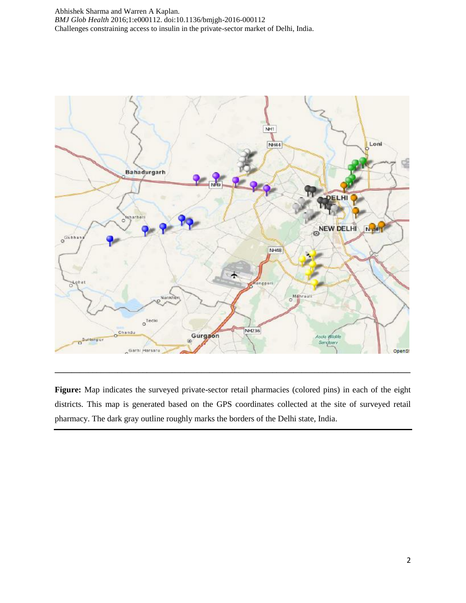

Figure: Map indicates the surveyed private-sector retail pharmacies (colored pins) in each of the eight districts. This map is generated based on the GPS coordinates collected at the site of surveyed retail pharmacy. The dark gray outline roughly marks the borders of the Delhi state, India.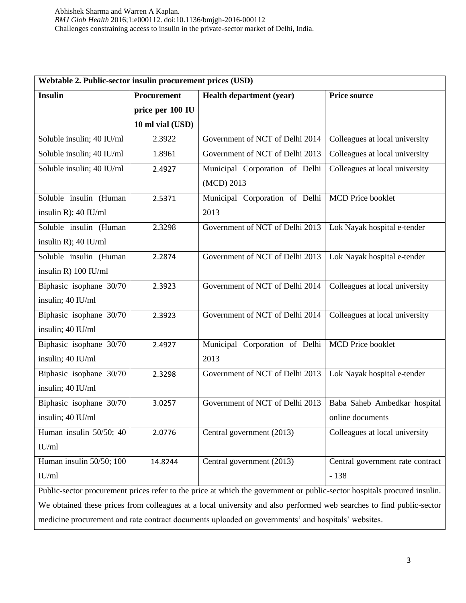| Webtable 2. Public-sector insulin procurement prices (USD)                                         |                  |                                                                                                                          |                                  |  |  |  |
|----------------------------------------------------------------------------------------------------|------------------|--------------------------------------------------------------------------------------------------------------------------|----------------------------------|--|--|--|
| <b>Insulin</b>                                                                                     | Procurement      | <b>Health department (year)</b>                                                                                          | <b>Price source</b>              |  |  |  |
|                                                                                                    | price per 100 IU |                                                                                                                          |                                  |  |  |  |
|                                                                                                    | 10 ml vial (USD) |                                                                                                                          |                                  |  |  |  |
| Soluble insulin; 40 IU/ml                                                                          | 2.3922           | Government of NCT of Delhi 2014                                                                                          | Colleagues at local university   |  |  |  |
| Soluble insulin; 40 IU/ml                                                                          | 1.8961           | Government of NCT of Delhi 2013                                                                                          | Colleagues at local university   |  |  |  |
| Soluble insulin; 40 IU/ml                                                                          | 2.4927           | Municipal Corporation of Delhi<br>(MCD) 2013                                                                             | Colleagues at local university   |  |  |  |
| Soluble insulin (Human                                                                             | 2.5371           | Municipal Corporation of Delhi                                                                                           | MCD Price booklet                |  |  |  |
| insulin R); 40 IU/ml                                                                               |                  | 2013                                                                                                                     |                                  |  |  |  |
| Soluble insulin (Human                                                                             | 2.3298           | Government of NCT of Delhi 2013                                                                                          | Lok Nayak hospital e-tender      |  |  |  |
| insulin R); $40$ IU/ml                                                                             |                  |                                                                                                                          |                                  |  |  |  |
| Soluble insulin (Human                                                                             | 2.2874           | Government of NCT of Delhi 2013                                                                                          | Lok Nayak hospital e-tender      |  |  |  |
| insulin R) 100 IU/ml                                                                               |                  |                                                                                                                          |                                  |  |  |  |
| Biphasic isophane 30/70                                                                            | 2.3923           | Government of NCT of Delhi 2014                                                                                          | Colleagues at local university   |  |  |  |
| insulin; 40 IU/ml                                                                                  |                  |                                                                                                                          |                                  |  |  |  |
| Biphasic isophane 30/70                                                                            | 2.3923           | Government of NCT of Delhi 2014                                                                                          | Colleagues at local university   |  |  |  |
| insulin; 40 IU/ml                                                                                  |                  |                                                                                                                          |                                  |  |  |  |
| Biphasic isophane 30/70                                                                            | 2.4927           | Municipal Corporation of Delhi                                                                                           | MCD Price booklet                |  |  |  |
| insulin; 40 IU/ml                                                                                  |                  | 2013                                                                                                                     |                                  |  |  |  |
| Biphasic isophane 30/70                                                                            | 2.3298           | Government of NCT of Delhi 2013                                                                                          | Lok Nayak hospital e-tender      |  |  |  |
| insulin; 40 IU/ml                                                                                  |                  |                                                                                                                          |                                  |  |  |  |
| Biphasic isophane 30/70                                                                            | 3.0257           | Government of NCT of Delhi 2013                                                                                          | Baba Saheb Ambedkar hospital     |  |  |  |
| insulin; 40 IU/ml                                                                                  |                  |                                                                                                                          | online documents                 |  |  |  |
| Human insulin 50/50; 40                                                                            | 2.0776           | Central government (2013)                                                                                                | Colleagues at local university   |  |  |  |
| IU/ml                                                                                              |                  |                                                                                                                          |                                  |  |  |  |
| Human insulin 50/50; 100                                                                           | 14.8244          | Central government (2013)                                                                                                | Central government rate contract |  |  |  |
| IU/ml                                                                                              |                  |                                                                                                                          | $-138$                           |  |  |  |
|                                                                                                    |                  | Public-sector procurement prices refer to the price at which the government or public-sector hospitals procured insulin. |                                  |  |  |  |
|                                                                                                    |                  | We obtained these prices from colleagues at a local university and also performed web searches to find public-sector     |                                  |  |  |  |
| medicine procurement and rate contract documents uploaded on governments' and hospitals' websites. |                  |                                                                                                                          |                                  |  |  |  |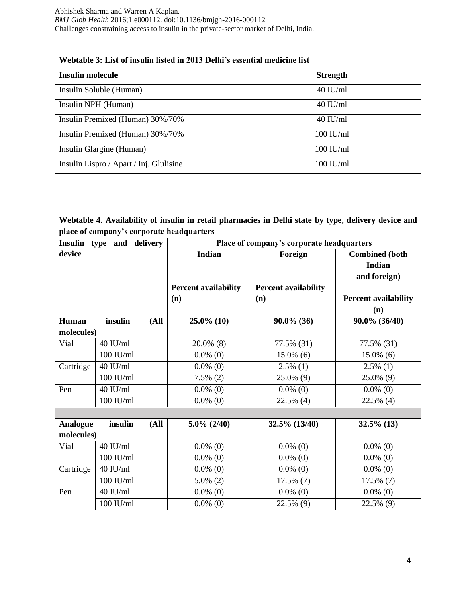| Webtable 3: List of insulin listed in 2013 Delhi's essential medicine list |                      |  |  |  |  |
|----------------------------------------------------------------------------|----------------------|--|--|--|--|
| <b>Insulin molecule</b>                                                    | <b>Strength</b>      |  |  |  |  |
| Insulin Soluble (Human)                                                    | $40$ IU/ml           |  |  |  |  |
| Insulin NPH (Human)                                                        | $40$ IU/ml           |  |  |  |  |
| Insulin Premixed (Human) 30%/70%                                           | $40$ IU/ml           |  |  |  |  |
| Insulin Premixed (Human) 30%/70%                                           | $100 \text{ H}$ J/ml |  |  |  |  |
| Insulin Glargine (Human)                                                   | $100$ IU/ml          |  |  |  |  |
| Insulin Lispro / Apart / Inj. Glulisine                                    | $100$ IU/ml          |  |  |  |  |

|                 |                           |                                                     |                                           |                                               | Webtable 4. Availability of insulin in retail pharmacies in Delhi state by type, delivery device and |  |  |  |  |
|-----------------|---------------------------|-----------------------------------------------------|-------------------------------------------|-----------------------------------------------|------------------------------------------------------------------------------------------------------|--|--|--|--|
|                 |                           |                                                     | place of company's corporate headquarters |                                               |                                                                                                      |  |  |  |  |
|                 | Insulin type and delivery |                                                     |                                           | Place of company's corporate headquarters     |                                                                                                      |  |  |  |  |
| device          |                           | <b>Indian</b><br><b>Percent availability</b><br>(n) |                                           | Foreign<br><b>Percent availability</b><br>(n) | <b>Combined</b> (both<br><b>Indian</b><br>and foreign)<br><b>Percent availability</b><br>(n)         |  |  |  |  |
| Human           | insulin                   | (A <sup>II</sup> )                                  | $25.0\%$ (10)                             | $90.0\%$ (36)                                 | 90.0% (36/40)                                                                                        |  |  |  |  |
| molecules)      |                           |                                                     |                                           |                                               |                                                                                                      |  |  |  |  |
| Vial            | $40$ IU/ml                |                                                     | $20.0\%$ (8)                              | 77.5% (31)                                    | 77.5% (31)                                                                                           |  |  |  |  |
|                 | $100$ IU/ml               |                                                     | $0.0\%$ (0)                               | $15.0\%$ (6)                                  | $15.0\%$ (6)                                                                                         |  |  |  |  |
| Cartridge       | $40$ IU/ml                |                                                     | $0.0\%$ (0)                               | $2.5\%$ (1)                                   | $2.5\%$ (1)                                                                                          |  |  |  |  |
|                 | $100$ $\mathrm{IU/ml}$    |                                                     | $7.5\%$ (2)                               | 25.0% (9)                                     | 25.0% (9)                                                                                            |  |  |  |  |
| Pen             | 40 IU/ml                  |                                                     | $0.0\%$ (0)                               | $0.0\%$ (0)                                   | $0.0\%$ (0)                                                                                          |  |  |  |  |
|                 | $100$ IU/ml               |                                                     | $0.0\%$ (0)                               | $22.5\%$ (4)                                  | 22.5% (4)                                                                                            |  |  |  |  |
|                 |                           |                                                     |                                           |                                               |                                                                                                      |  |  |  |  |
| <b>Analogue</b> | insulin                   | (A <sup>II</sup> )                                  | $5.0\%$ (2/40)                            | 32.5% (13/40)                                 | $32.5\%$ (13)                                                                                        |  |  |  |  |
| molecules)      |                           |                                                     |                                           |                                               |                                                                                                      |  |  |  |  |
| Vial            | $40$ IU/ml                |                                                     | $0.0\%$ (0)                               | $0.0\%$ (0)                                   | $0.0\%$ (0)                                                                                          |  |  |  |  |
|                 | $100$ IU/ml               |                                                     | $0.0\%$ (0)                               | $0.0\%$ (0)                                   | $0.0\%$ (0)                                                                                          |  |  |  |  |
| Cartridge       | $40$ IU/ml                |                                                     | $0.0\%$ (0)                               | $0.0\%$ (0)                                   | $0.0\%$ (0)                                                                                          |  |  |  |  |
|                 | $100$ IU/ml               |                                                     | $5.0\%$ (2)                               | $17.5\%$ (7)                                  | $17.5\%$ (7)                                                                                         |  |  |  |  |
| Pen             | 40 IU/ml                  |                                                     | $0.0\%$ (0)                               | $0.0\%$ (0)                                   | $0.0\%$ (0)                                                                                          |  |  |  |  |
|                 | $100$ IU/ml               |                                                     | $0.0\%$ (0)                               | 22.5% (9)                                     | 22.5% (9)                                                                                            |  |  |  |  |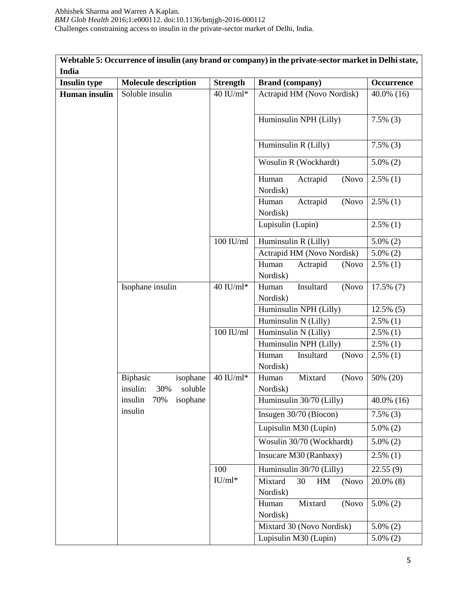| Webtable 5: Occurrence of insulin (any brand or company) in the private-sector market in Delhi state, |                                                    |                 |                                          |               |  |  |
|-------------------------------------------------------------------------------------------------------|----------------------------------------------------|-----------------|------------------------------------------|---------------|--|--|
| India                                                                                                 |                                                    |                 |                                          |               |  |  |
| <b>Insulin type</b>                                                                                   | <b>Molecule description</b>                        | <b>Strength</b> | <b>Brand (company)</b>                   | Occurrence    |  |  |
| <b>Human</b> insulin                                                                                  | Soluble insulin                                    | 40 IU/ml*       | Actrapid HM (Novo Nordisk)               | $40.0\%$ (16) |  |  |
|                                                                                                       |                                                    |                 | Huminsulin NPH (Lilly)                   | $7.5\%$ (3)   |  |  |
|                                                                                                       |                                                    |                 | Huminsulin R (Lilly)                     | $7.5\%$ (3)   |  |  |
|                                                                                                       |                                                    |                 | Wosulin R (Wockhardt)                    | $5.0\%$ (2)   |  |  |
|                                                                                                       |                                                    |                 | Actrapid<br>Human<br>(Novo<br>Nordisk)   | $2.5\%$ (1)   |  |  |
|                                                                                                       |                                                    |                 | Actrapid<br>(Novo<br>Human<br>Nordisk)   | $2.5\%$ (1)   |  |  |
|                                                                                                       |                                                    |                 | Lupisulin (Lupin)                        | $2.5\%$ (1)   |  |  |
|                                                                                                       |                                                    | $100$ IU/ml     | Huminsulin R (Lilly)                     | $5.0\%$ (2)   |  |  |
|                                                                                                       |                                                    |                 | Actrapid HM (Novo Nordisk)               | $5.0\%$ (2)   |  |  |
|                                                                                                       |                                                    |                 | Human<br>Actrapid<br>(Novo<br>Nordisk)   | $2.5\%$ (1)   |  |  |
|                                                                                                       | Isophane insulin                                   | $40$ IU/ml*     | Human<br>Insultard<br>(Novo<br>Nordisk)  | $17.5\%$ (7)  |  |  |
|                                                                                                       |                                                    |                 | Huminsulin NPH (Lilly)                   | $12.5\%$ (5)  |  |  |
|                                                                                                       |                                                    |                 | Huminsulin N (Lilly)                     | $2.5\%$ (1)   |  |  |
|                                                                                                       |                                                    | $100$ IU/ml     | Huminsulin N (Lilly)                     | $2.5\%$ (1)   |  |  |
|                                                                                                       |                                                    |                 | Huminsulin NPH (Lilly)                   | $2.5\%$ (1)   |  |  |
|                                                                                                       |                                                    |                 | Insultard<br>Human<br>(Novo<br>Nordisk)  | $2.5\%$ (1)   |  |  |
|                                                                                                       | Biphasic<br>isophane<br>insulin:<br>soluble<br>30% | $40$ IU/ml*     | Mixtard<br>Human<br>(Novo<br>Nordisk)    | 50% (20)      |  |  |
|                                                                                                       | insulin<br>70%<br>isophane                         |                 | Huminsulin 30/70 (Lilly)                 | 40.0% (16)    |  |  |
|                                                                                                       | insulin                                            |                 | Insugen 30/70 (Biocon)                   | $7.5\%$ (3)   |  |  |
|                                                                                                       |                                                    |                 | Lupisulin M30 (Lupin)                    | $5.0\%$ (2)   |  |  |
|                                                                                                       |                                                    |                 | Wosulin 30/70 (Wockhardt)                | $5.0\%$ (2)   |  |  |
|                                                                                                       |                                                    |                 | Insucare M30 (Ranbaxy)                   | $2.5\%$ (1)   |  |  |
|                                                                                                       |                                                    | 100             | Huminsulin 30/70 (Lilly)                 | 22.55(9)      |  |  |
|                                                                                                       |                                                    | $IU/ml*$        | Mixtard<br>30<br>HM<br>(Novo<br>Nordisk) | $20.0\%$ (8)  |  |  |
|                                                                                                       |                                                    |                 | Mixtard<br>(Novo<br>Human<br>Nordisk)    | $5.0\%$ (2)   |  |  |
|                                                                                                       |                                                    |                 | Mixtard 30 (Novo Nordisk)                | $5.0\%$ (2)   |  |  |
|                                                                                                       |                                                    |                 | Lupisulin M30 (Lupin)                    | $5.0\%$ (2)   |  |  |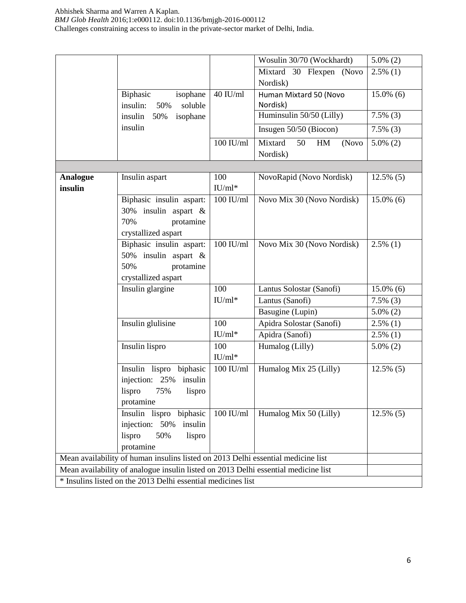|                 |                                                                                    |             | Wosulin 30/70 (Wockhardt)                                        | $5.0\%$ (2)  |
|-----------------|------------------------------------------------------------------------------------|-------------|------------------------------------------------------------------|--------------|
|                 |                                                                                    |             | Mixtard 30 Flexpen (Novo                                         | $2.5\%$ (1)  |
|                 |                                                                                    |             | Nordisk)                                                         |              |
|                 | Biphasic<br>isophane<br>insulin:<br>soluble<br>50%                                 | $40$ IU/ml  | Human Mixtard 50 (Novo<br>Nordisk)                               | $15.0\%$ (6) |
|                 | insulin<br>50%<br>isophane                                                         |             | Huminsulin 50/50 (Lilly)                                         | $7.5\%$ (3)  |
|                 | insulin                                                                            |             | Insugen 50/50 (Biocon)                                           | $7.5\%$ (3)  |
|                 |                                                                                    | 100 IU/ml   | Mixtard<br>50<br>$\mathop{\rm HM}\nolimits$<br>(Novo<br>Nordisk) | $5.0\%$ (2)  |
|                 |                                                                                    |             |                                                                  |              |
| <b>Analogue</b> | Insulin aspart                                                                     | 100         | NovoRapid (Novo Nordisk)                                         | $12.5\%$ (5) |
| insulin         |                                                                                    | $IU/ml*$    |                                                                  |              |
|                 | Biphasic insulin aspart:<br>30% insulin aspart &                                   | $100$ IU/ml | Novo Mix 30 (Novo Nordisk)                                       | $15.0\%$ (6) |
|                 | 70%<br>protamine<br>crystallized aspart                                            |             |                                                                  |              |
|                 | Biphasic insulin aspart:                                                           | $100$ IU/ml | Novo Mix 30 (Novo Nordisk)                                       | $2.5\%$ (1)  |
|                 | 50% insulin aspart &                                                               |             |                                                                  |              |
|                 | 50%<br>protamine                                                                   |             |                                                                  |              |
|                 | crystallized aspart                                                                |             |                                                                  |              |
|                 | Insulin glargine                                                                   | 100         | Lantus Solostar (Sanofi)                                         | $15.0\%$ (6) |
|                 |                                                                                    | $IU/ml*$    | Lantus (Sanofi)                                                  | $7.5\%$ (3)  |
|                 |                                                                                    |             | Basugine (Lupin)                                                 | $5.0\%$ (2)  |
|                 | Insulin glulisine                                                                  | 100         | Apidra Solostar (Sanofi)                                         | $2.5\%$ (1)  |
|                 |                                                                                    | $IU/ml*$    | Apidra (Sanofi)                                                  | $2.5\%$ (1)  |
|                 | Insulin lispro                                                                     | 100         | Humalog (Lilly)                                                  | $5.0\%$ (2)  |
|                 |                                                                                    | $IU/ml*$    |                                                                  |              |
|                 | Insulin lispro<br>biphasic                                                         | $100$ IU/ml | Humalog Mix 25 (Lilly)                                           | $12.5\%$ (5) |
|                 | injection: 25%<br>insulin                                                          |             |                                                                  |              |
|                 | 75%<br>lispro<br>lispro                                                            |             |                                                                  |              |
|                 | protamine                                                                          |             |                                                                  |              |
|                 | Insulin lispro biphasic                                                            | $100$ IU/ml | Humalog Mix 50 (Lilly)                                           | $12.5\%$ (5) |
|                 | injection: 50%<br>insulin                                                          |             |                                                                  |              |
|                 | 50%<br>lispro<br>lispro                                                            |             |                                                                  |              |
|                 | protamine                                                                          |             |                                                                  |              |
|                 | Mean availability of human insulins listed on 2013 Delhi essential medicine list   |             |                                                                  |              |
|                 | Mean availability of analogue insulin listed on 2013 Delhi essential medicine list |             |                                                                  |              |
|                 | * Insulins listed on the 2013 Delhi essential medicines list                       |             |                                                                  |              |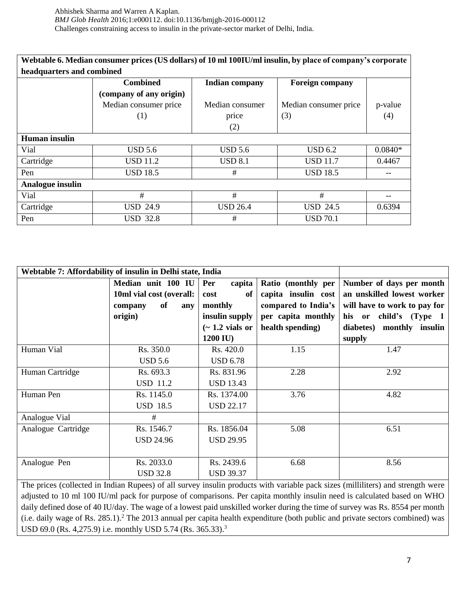| Webtable 6. Median consumer prices (US dollars) of 10 ml 100IU/ml insulin, by place of company's corporate |                           |                       |                        |           |  |  |  |  |
|------------------------------------------------------------------------------------------------------------|---------------------------|-----------------------|------------------------|-----------|--|--|--|--|
|                                                                                                            | headquarters and combined |                       |                        |           |  |  |  |  |
|                                                                                                            | <b>Combined</b>           | <b>Indian company</b> | <b>Foreign company</b> |           |  |  |  |  |
|                                                                                                            | (company of any origin)   |                       |                        |           |  |  |  |  |
|                                                                                                            | Median consumer price     | Median consumer       | Median consumer price  | p-value   |  |  |  |  |
|                                                                                                            | (1)                       | price                 | (3)                    | (4)       |  |  |  |  |
|                                                                                                            |                           | (2)                   |                        |           |  |  |  |  |
| <b>Human</b> insulin                                                                                       |                           |                       |                        |           |  |  |  |  |
| Vial                                                                                                       | <b>USD 5.6</b>            | <b>USD 5.6</b>        | <b>USD 6.2</b>         | $0.0840*$ |  |  |  |  |
| Cartridge                                                                                                  | <b>USD 11.2</b>           | USD 8.1               | <b>USD 11.7</b>        | 0.4467    |  |  |  |  |
| Pen                                                                                                        | <b>USD 18.5</b>           | #                     | <b>USD 18.5</b>        |           |  |  |  |  |
| Analogue insulin                                                                                           |                           |                       |                        |           |  |  |  |  |
| Vial                                                                                                       | #                         | #                     | #                      |           |  |  |  |  |
| Cartridge                                                                                                  | <b>USD 24.9</b>           | <b>USD 26.4</b>       | $USD$ 24.5             | 0.6394    |  |  |  |  |
| Pen                                                                                                        | <b>USD 32.8</b>           | #                     | <b>USD 70.1</b>        |           |  |  |  |  |

|                    | Webtable 7: Affordability of insulin in Delhi state, India |                     |                     |                                                                                                                                 |  |  |  |  |
|--------------------|------------------------------------------------------------|---------------------|---------------------|---------------------------------------------------------------------------------------------------------------------------------|--|--|--|--|
|                    | Median unit 100 IU                                         | Per<br>capita       | Ratio (monthly per  | Number of days per month                                                                                                        |  |  |  |  |
|                    | 10ml vial cost (overall:                                   | of<br>cost          | capita insulin cost | an unskilled lowest worker                                                                                                      |  |  |  |  |
|                    | of<br>company<br>any                                       | monthly             | compared to India's | will have to work to pay for                                                                                                    |  |  |  |  |
|                    | origin)                                                    | insulin supply      | per capita monthly  | his or child's (Type 1                                                                                                          |  |  |  |  |
|                    |                                                            | $\sim$ 1.2 vials or | health spending)    | diabetes) monthly insulin                                                                                                       |  |  |  |  |
|                    |                                                            | 1200 IU)            |                     | supply                                                                                                                          |  |  |  |  |
| Human Vial         | Rs. 350.0                                                  | Rs. 420.0           | 1.15                | 1.47                                                                                                                            |  |  |  |  |
|                    | <b>USD 5.6</b>                                             | <b>USD 6.78</b>     |                     |                                                                                                                                 |  |  |  |  |
| Human Cartridge    | Rs. 693.3                                                  | Rs. 831.96          | 2.28                | 2.92                                                                                                                            |  |  |  |  |
|                    | <b>USD 11.2</b>                                            | <b>USD 13.43</b>    |                     |                                                                                                                                 |  |  |  |  |
| Human Pen          | Rs. 1145.0                                                 | Rs. 1374.00         | 3.76                | 4.82                                                                                                                            |  |  |  |  |
|                    | <b>USD 18.5</b>                                            | <b>USD 22.17</b>    |                     |                                                                                                                                 |  |  |  |  |
| Analogue Vial      | #                                                          |                     |                     |                                                                                                                                 |  |  |  |  |
| Analogue Cartridge | Rs. 1546.7                                                 | Rs. 1856.04         | 5.08                | 6.51                                                                                                                            |  |  |  |  |
|                    | <b>USD 24.96</b>                                           | <b>USD 29.95</b>    |                     |                                                                                                                                 |  |  |  |  |
|                    |                                                            |                     |                     |                                                                                                                                 |  |  |  |  |
| Analogue Pen       | Rs. 2033.0                                                 | Rs. 2439.6          | 6.68                | 8.56                                                                                                                            |  |  |  |  |
|                    | <b>USD 32.8</b>                                            | <b>USD 39.37</b>    |                     |                                                                                                                                 |  |  |  |  |
|                    |                                                            |                     |                     | The prices (collected in Indian Rupees) of all survey insulin products with variable pack sizes (milliliters) and strength were |  |  |  |  |

The prices (collected in Indian Rupees) of all survey insulin products with variable pack sizes (milliliters) and strength were adjusted to 10 ml 100 IU/ml pack for purpose of comparisons. Per capita monthly insulin need is calculated based on WHO daily defined dose of 40 IU/day. The wage of a lowest paid unskilled worker during the time of survey was Rs. 8554 per month (i.e. daily wage of Rs. 285.1).<sup>2</sup> The 2013 annual per capita health expenditure (both public and private sectors combined) was USD 69.0 (Rs. 4,275.9) i.e. monthly USD 5.74 (Rs. 365.33).<sup>3</sup>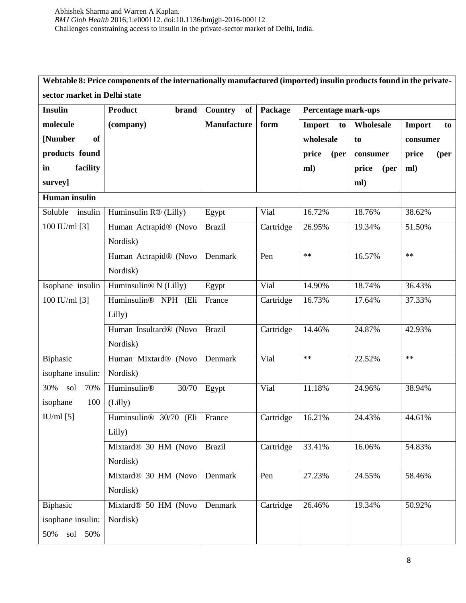# **Webtable 8: Price components of the internationally manufactured (imported) insulin products found in the privatesector market in Delhi state**

| <b>Insulin</b>       | <b>Product</b><br><b>brand</b>   | Country<br>of      | Package   | <b>Percentage mark-ups</b> |               |               |
|----------------------|----------------------------------|--------------------|-----------|----------------------------|---------------|---------------|
| molecule             | (company)                        | <b>Manufacture</b> | form      | Import<br>to               | Wholesale     | Import<br>to  |
| [Number<br><b>of</b> |                                  |                    |           | wholesale                  | to            | consumer      |
| products found       |                                  |                    |           | price<br>(per              | consumer      | price<br>(per |
| facility<br>in       |                                  |                    |           | ml)                        | price<br>(per | ml)           |
| survey]              |                                  |                    |           |                            | ml)           |               |
| Human insulin        |                                  |                    |           |                            |               |               |
| Soluble<br>insulin   | Huminsulin R® (Lilly)            | Egypt              | Vial      | 16.72%                     | 18.76%        | 38.62%        |
| 100 IU/ml [3]        | Human Actrapid® (Novo            | <b>Brazil</b>      | Cartridge | 26.95%                     | 19.34%        | 51.50%        |
|                      | Nordisk)                         |                    |           |                            |               |               |
|                      | Human Actrapid® (Novo            | Denmark            | Pen       | $\ast\ast$                 | 16.57%        | $**$          |
|                      | Nordisk)                         |                    |           |                            |               |               |
| Isophane insulin     | Huminsulin® N (Lilly)            | Egypt              | Vial      | 14.90%                     | 18.74%        | 36.43%        |
| 100 IU/ml $[3]$      | Huminsulin® NPH (Eli             | France             | Cartridge | 16.73%                     | 17.64%        | 37.33%        |
|                      | Lilly)                           |                    |           |                            |               |               |
|                      | Human Insultard® (Novo           | <b>Brazil</b>      | Cartridge | 14.46%                     | 24.87%        | 42.93%        |
|                      | Nordisk)                         |                    |           |                            |               |               |
| Biphasic             | Human Mixtard® (Novo             | Denmark            | Vial      | $**$                       | 22.52%        | $**$          |
| isophane insulin:    | Nordisk)                         |                    |           |                            |               |               |
| 30%<br>sol<br>70%    | Huminsulin®<br>30/70             | Egypt              | Vial      | 11.18%                     | 24.96%        | 38.94%        |
| isophane<br>100      | (Lilly)                          |                    |           |                            |               |               |
| $IU/ml$ [5]          | Huminsulin® 30/70 (Eli           | France             | Cartridge | 16.21%                     | 24.43%        | 44.61%        |
|                      | Lilly)                           |                    |           |                            |               |               |
|                      | Mixtard <sup>®</sup> 30 HM (Novo | <b>Brazil</b>      | Cartridge | 33.41%                     | 16.06%        | 54.83%        |
|                      | Nordisk)                         |                    |           |                            |               |               |
|                      | Mixtard <sup>®</sup> 30 HM (Novo | Denmark            | Pen       | 27.23%                     | 24.55%        | 58.46%        |
|                      | Nordisk)                         |                    |           |                            |               |               |
| Biphasic             | Mixtard® 50 HM (Novo             | Denmark            | Cartridge | 26.46%                     | 19.34%        | 50.92%        |
| isophane insulin:    | Nordisk)                         |                    |           |                            |               |               |
| 50%<br>50%<br>sol    |                                  |                    |           |                            |               |               |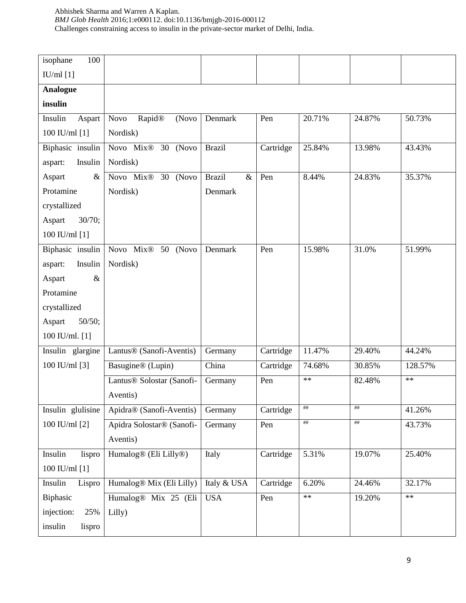| 100<br>isophane    |                                                |                       |           |            |        |            |
|--------------------|------------------------------------------------|-----------------------|-----------|------------|--------|------------|
| IU/ml [1]          |                                                |                       |           |            |        |            |
| <b>Analogue</b>    |                                                |                       |           |            |        |            |
| insulin            |                                                |                       |           |            |        |            |
| Insulin<br>Aspart  | Rapid®<br><b>Novo</b><br>(Novo                 | Denmark               | Pen       | 20.71%     | 24.87% | 50.73%     |
| 100 IU/ml [1]      | Nordisk)                                       |                       |           |            |        |            |
| Biphasic insulin   | Novo Mix <sup>®</sup> 30 (Novo                 | <b>Brazil</b>         | Cartridge | 25.84%     | 13.98% | 43.43%     |
| aspart:<br>Insulin | Nordisk)                                       |                       |           |            |        |            |
| Aspart<br>$\&$     | Novo Mix <sup>®</sup> 30 (Novo                 | <b>Brazil</b><br>$\&$ | Pen       | 8.44%      | 24.83% | 35.37%     |
| Protamine          | Nordisk)                                       | Denmark               |           |            |        |            |
| crystallized       |                                                |                       |           |            |        |            |
| 30/70;<br>Aspart   |                                                |                       |           |            |        |            |
| 100 IU/ml [1]      |                                                |                       |           |            |        |            |
| Biphasic insulin   | Novo Mix®<br>50 (Novo                          | Denmark               | Pen       | 15.98%     | 31.0%  | 51.99%     |
| Insulin<br>aspart: | Nordisk)                                       |                       |           |            |        |            |
| $\&$<br>Aspart     |                                                |                       |           |            |        |            |
| Protamine          |                                                |                       |           |            |        |            |
| crystallized       |                                                |                       |           |            |        |            |
| 50/50;<br>Aspart   |                                                |                       |           |            |        |            |
| 100 IU/ml. [1]     |                                                |                       |           |            |        |            |
| Insulin glargine   | Lantus® (Sanofi-Aventis)                       | Germany               | Cartridge | 11.47%     | 29.40% | 44.24%     |
| 100 IU/ml [3]      | Basugine® (Lupin)                              | China                 | Cartridge | 74.68%     | 30.85% | 128.57%    |
|                    | Lantus® Solostar (Sanofi-                      | Germany               | Pen       | $\ast\ast$ | 82.48% | $**$       |
|                    | Aventis)                                       |                       |           |            |        |            |
| Insulin glulisine  | Apidra® (Sanofi-Aventis)                       | Germany               | Cartridge | ##         | ##     | 41.26%     |
| 100 IU/ml [2]      | Apidra Solostar® (Sanofi-                      | Germany               | Pen       | ##         | ##     | 43.73%     |
|                    | Aventis)                                       |                       |           |            |        |            |
| Insulin<br>lispro  | Humalog <sup>®</sup> (Eli Lilly <sup>®</sup> ) | Italy                 | Cartridge | 5.31%      | 19.07% | 25.40%     |
| 100 IU/ml [1]      |                                                |                       |           |            |        |            |
| Insulin<br>Lispro  | Humalog® Mix (Eli Lilly)                       | Italy & USA           | Cartridge | 6.20%      | 24.46% | 32.17%     |
| Biphasic           | Humalog® Mix 25 (Eli                           | <b>USA</b>            | Pen       | $\ast\ast$ | 19.20% | $\ast\ast$ |
| injection:<br>25%  | Lilly)                                         |                       |           |            |        |            |
| insulin<br>lispro  |                                                |                       |           |            |        |            |